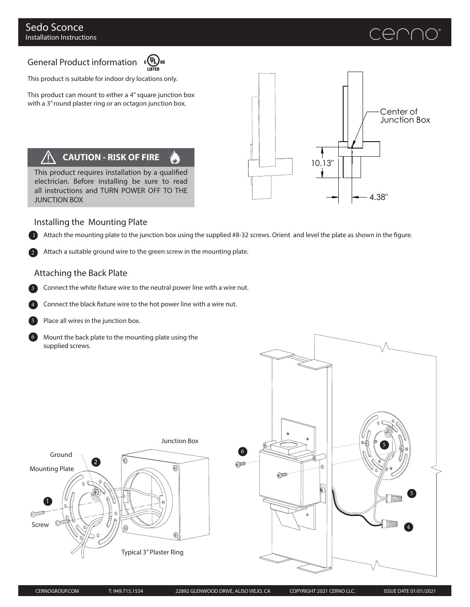# CENNO®

## General Product information cous



This product is suitable for indoor dry locations only.

This product can mount to either a 4" square junction box with a 3" round plaster ring or an octagon junction box.

### **CAUTION - RISK OF FIRE**

This product requires installation by a qualified electrician. Before installing be sure to read all instructions and TURN POWER OFF TO THE JUNCTION BOX



#### Installing the Mounting Plate

**Attach the mounting plate to the junction box using the supplied #8-32 screws. Orient and level the plate as shown in the figure.** 

Attach a suitable ground wire to the green screw in the mounting plate.

#### Attaching the Back Plate

Connect the white fixture wire to the neutral power line with a wire nut.

Connect the black fixture wire to the hot power line with a wire nut.



3

6

2

Place all wires in the junction box.

Mount the back plate to the mounting plate using the supplied screws.



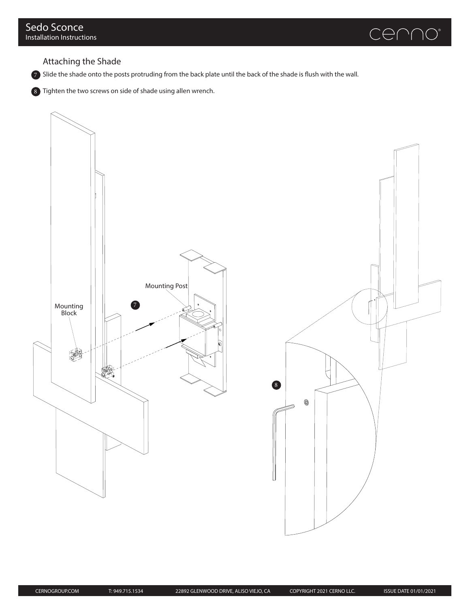

Attaching the Shade

 $7$  Slide the shade onto the posts protruding from the back plate until the back of the shade is flush with the wall.

8 Tighten the two screws on side of shade using allen wrench.